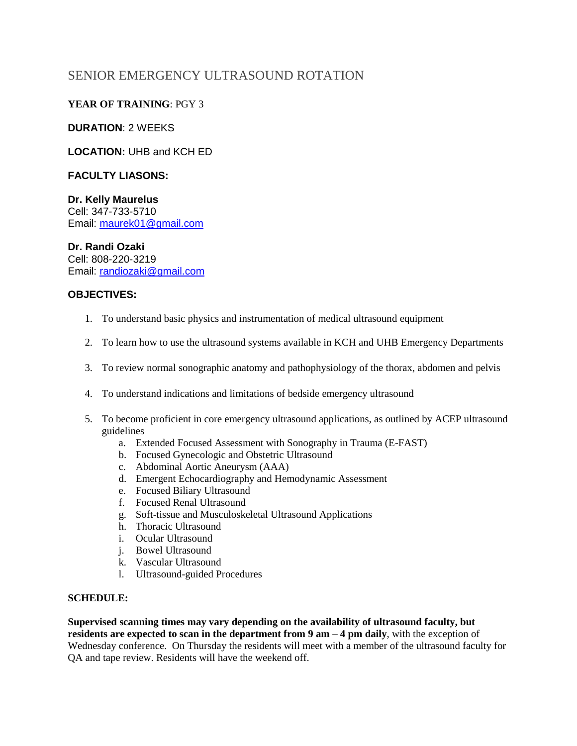# SENIOR EMERGENCY ULTRASOUND ROTATION

# **YEAR OF TRAINING**: PGY 3

### **DURATION**: 2 WEEKS

# **LOCATION:** UHB and KCH ED

#### **FACULTY LIASONS:**

#### **Dr. Kelly Maurelus**  Cell: 347-733-5710 Email: [maurek01@gmail.com](mailto:maurek01@gmail.com)

#### **Dr. Randi Ozaki**

Cell: 808-220-3219 Email: [randiozaki@gmail.com](mailto:randiozaki@gmail.com)

#### **OBJECTIVES:**

- 1. To understand basic physics and instrumentation of medical ultrasound equipment
- 2. To learn how to use the ultrasound systems available in KCH and UHB Emergency Departments
- 3. To review normal sonographic anatomy and pathophysiology of the thorax, abdomen and pelvis
- 4. To understand indications and limitations of bedside emergency ultrasound
- 5. To become proficient in core emergency ultrasound applications, as outlined by ACEP ultrasound guidelines
	- a. Extended Focused Assessment with Sonography in Trauma (E-FAST)
	- b. Focused Gynecologic and Obstetric Ultrasound
	- c. Abdominal Aortic Aneurysm (AAA)
	- d. Emergent Echocardiography and Hemodynamic Assessment
	- e. Focused Biliary Ultrasound
	- f. Focused Renal Ultrasound
	- g. Soft-tissue and Musculoskeletal Ultrasound Applications
	- h. Thoracic Ultrasound
	- i. Ocular Ultrasound
	- j. Bowel Ultrasound
	- k. Vascular Ultrasound
	- l. Ultrasound-guided Procedures

#### **SCHEDULE:**

**Supervised scanning times may vary depending on the availability of ultrasound faculty, but residents are expected to scan in the department from 9 am – 4 pm daily**, with the exception of Wednesday conference. On Thursday the residents will meet with a member of the ultrasound faculty for QA and tape review. Residents will have the weekend off.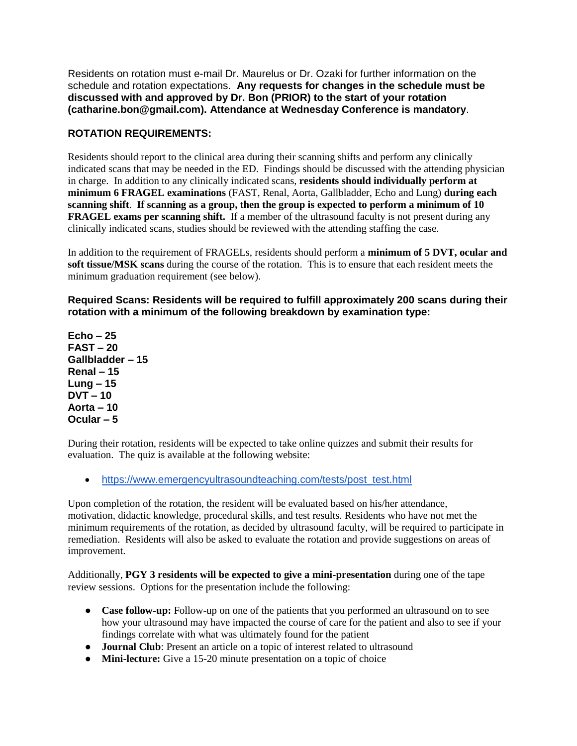Residents on rotation must e-mail Dr. Maurelus or Dr. Ozaki for further information on the schedule and rotation expectations. **Any requests for changes in the schedule must be discussed with and approved by Dr. Bon (PRIOR) to the start of your rotation (catharine.bon@gmail.com). Attendance at Wednesday Conference is mandatory**.

# **ROTATION REQUIREMENTS:**

Residents should report to the clinical area during their scanning shifts and perform any clinically indicated scans that may be needed in the ED. Findings should be discussed with the attending physician in charge. In addition to any clinically indicated scans, **residents should individually perform at minimum 6 FRAGEL examinations** (FAST, Renal, Aorta, Gallbladder, Echo and Lung) **during each scanning shift**. **If scanning as a group, then the group is expected to perform a minimum of 10 FRAGEL exams per scanning shift.** If a member of the ultrasound faculty is not present during any clinically indicated scans, studies should be reviewed with the attending staffing the case.

In addition to the requirement of FRAGELs, residents should perform a **minimum of 5 DVT, ocular and soft tissue/MSK scans** during the course of the rotation. This is to ensure that each resident meets the minimum graduation requirement (see below).

**Required Scans: Residents will be required to fulfill approximately 200 scans during their rotation with a minimum of the following breakdown by examination type:**

**Echo – 25 FAST – 20 Gallbladder – 15 Renal – 15 Lung – 15 DVT – 10 Aorta – 10 Ocular – 5**

During their rotation, residents will be expected to take online quizzes and submit their results for evaluation. The quiz is available at the following website:

[https://www.emergencyultrasoundteaching.com/tests/post\\_test.html](https://www.emergencyultrasoundteaching.com/tests/post_test.html)

Upon completion of the rotation, the resident will be evaluated based on his/her attendance, motivation, didactic knowledge, procedural skills, and test results. Residents who have not met the minimum requirements of the rotation, as decided by ultrasound faculty, will be required to participate in remediation. Residents will also be asked to evaluate the rotation and provide suggestions on areas of improvement.

Additionally, **PGY 3 residents will be expected to give a mini-presentation** during one of the tape review sessions. Options for the presentation include the following:

- **Case follow-up:** Follow-up on one of the patients that you performed an ultrasound on to see how your ultrasound may have impacted the course of care for the patient and also to see if your findings correlate with what was ultimately found for the patient
- **Journal Club**: Present an article on a topic of interest related to ultrasound
- **Mini-lecture:** Give a 15-20 minute presentation on a topic of choice